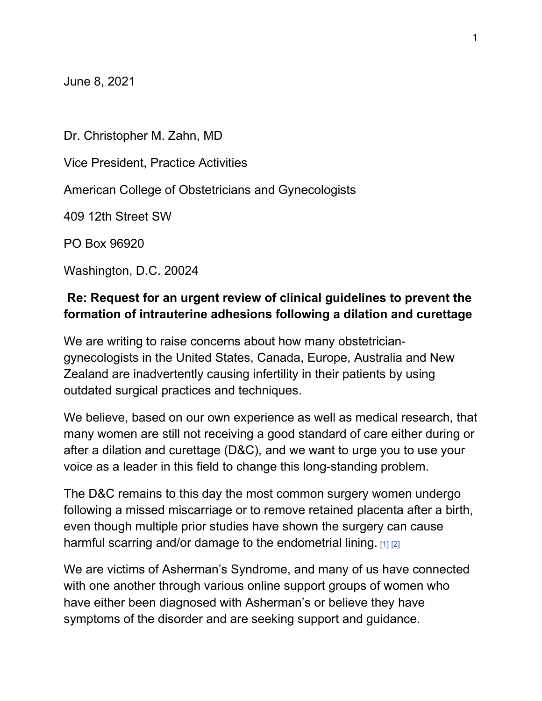June 8, 2021

Dr. Christopher M. Zahn, MD Vice President, Practice Activities American College of Obstetricians and Gynecologists 409 12th Street SW PO Box 96920 Washington, D.C. 20024

## Re: Request for an urgent review of clinical guidelines to prevent the formation of intrauterine adhesions following a dilation and curettage

We are writing to raise concerns about how many obstetriciangynecologists in the United States, Canada, Europe, Australia and New Zealand are inadvertently causing infertility in their patients by using outdated surgical practices and techniques.

We believe, based on our own experience as well as medical research, that many women are still not receiving a good standard of care either during or after a dilation and curettage (D&C), and we want to urge you to use your voice as a leader in this field to change this long-standing problem.

The D&C remains to this day the most common surgery women undergo following a missed miscarriage or to remove retained placenta after a birth, even though multiple prior studies have shown the surgery can cause harmful scarring and/or damage to the endometrial lining.  $112$ 

We are victims of Asherman's Syndrome, and many of us have connected with one another through various online support groups of women who have either been diagnosed with Asherman's or believe they have symptoms of the disorder and are seeking support and guidance.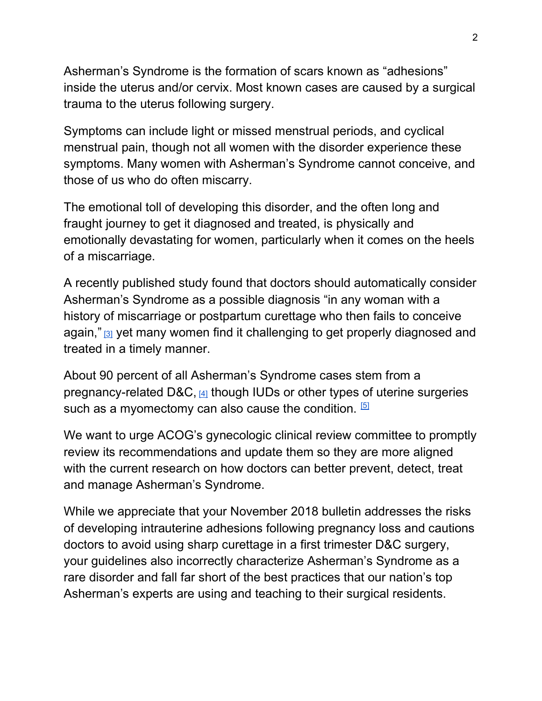Asherman's Syndrome is the formation of scars known as "adhesions" inside the uterus and/or cervix. Most known cases are caused by a surgical trauma to the uterus following surgery.

Symptoms can include light or missed menstrual periods, and cyclical menstrual pain, though not all women with the disorder experience these symptoms. Many women with Asherman's Syndrome cannot conceive, and those of us who do often miscarry.

The emotional toll of developing this disorder, and the often long and fraught journey to get it diagnosed and treated, is physically and emotionally devastating for women, particularly when it comes on the heels of a miscarriage.

A recently published study found that doctors should automatically consider Asherman's Syndrome as a possible diagnosis "in any woman with a history of miscarriage or postpartum curettage who then fails to conceive again," **[3]** yet many women find it challenging to get properly diagnosed and treated in a timely manner.

About 90 percent of all Asherman's Syndrome cases stem from a pregnancy-related D&C,  $\frac{41}{4}$  though IUDs or other types of uterine surgeries such as a myomectomy can also cause the condition.  $[5]$ 

We want to urge ACOG's gynecologic clinical review committee to promptly review its recommendations and update them so they are more aligned with the current research on how doctors can better prevent, detect, treat and manage Asherman's Syndrome.

While we appreciate that your November 2018 bulletin addresses the risks of developing intrauterine adhesions following pregnancy loss and cautions doctors to avoid using sharp curettage in a first trimester D&C surgery, your guidelines also incorrectly characterize Asherman's Syndrome as a rare disorder and fall far short of the best practices that our nation's top Asherman's experts are using and teaching to their surgical residents.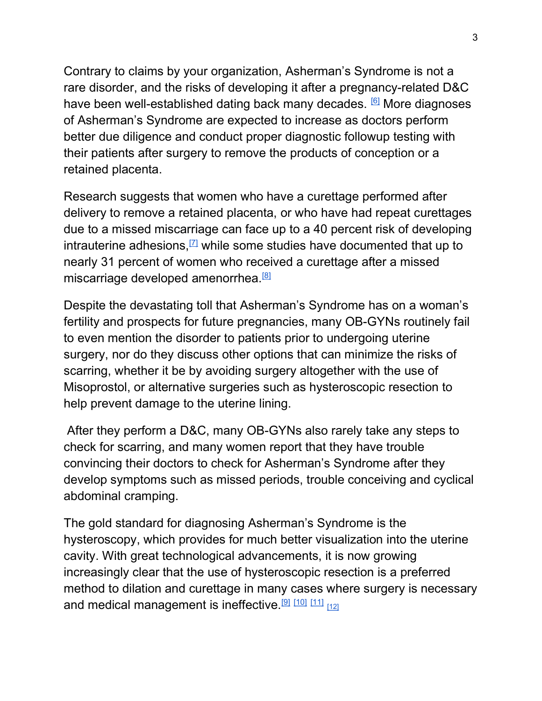Contrary to claims by your organization, Asherman's Syndrome is not a rare disorder, and the risks of developing it after a pregnancy-related D&C have been well-established dating back many decades. **6** More diagnoses of Asherman's Syndrome are expected to increase as doctors perform better due diligence and conduct proper diagnostic followup testing with their patients after surgery to remove the products of conception or a retained placenta.

Research suggests that women who have a curettage performed after delivery to remove a retained placenta, or who have had repeat curettages due to a missed miscarriage can face up to a 40 percent risk of developing intrauterine adhesions,  $\mathbb{Z}$  while some studies have documented that up to nearly 31 percent of women who received a curettage after a missed miscarriage developed amenorrhea.<sup>[8]</sup>

Despite the devastating toll that Asherman's Syndrome has on a woman's fertility and prospects for future pregnancies, many OB-GYNs routinely fail to even mention the disorder to patients prior to undergoing uterine surgery, nor do they discuss other options that can minimize the risks of scarring, whether it be by avoiding surgery altogether with the use of Misoprostol, or alternative surgeries such as hysteroscopic resection to help prevent damage to the uterine lining.

 After they perform a D&C, many OB-GYNs also rarely take any steps to check for scarring, and many women report that they have trouble convincing their doctors to check for Asherman's Syndrome after they develop symptoms such as missed periods, trouble conceiving and cyclical abdominal cramping.

The gold standard for diagnosing Asherman's Syndrome is the hysteroscopy, which provides for much better visualization into the uterine cavity. With great technological advancements, it is now growing increasingly clear that the use of hysteroscopic resection is a preferred method to dilation and curettage in many cases where surgery is necessary and medical management is ineffective.<sup>[9] [10]</sup> [11]  $_{[12]}$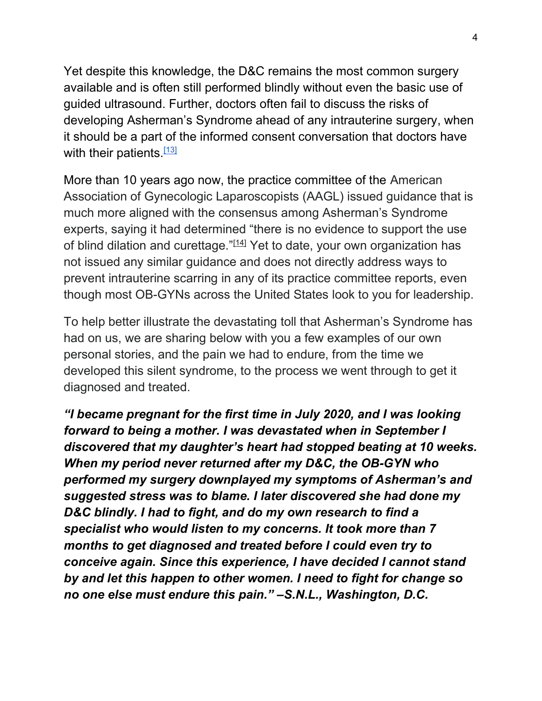Yet despite this knowledge, the D&C remains the most common surgery available and is often still performed blindly without even the basic use of guided ultrasound. Further, doctors often fail to discuss the risks of developing Asherman's Syndrome ahead of any intrauterine surgery, when it should be a part of the informed consent conversation that doctors have with their patients.<sup>[13]</sup>

More than 10 years ago now, the practice committee of the American Association of Gynecologic Laparoscopists (AAGL) issued guidance that is much more aligned with the consensus among Asherman's Syndrome experts, saying it had determined "there is no evidence to support the use of blind dilation and curettage."<sup>[14]</sup> Yet to date, your own organization has not issued any similar guidance and does not directly address ways to prevent intrauterine scarring in any of its practice committee reports, even though most OB-GYNs across the United States look to you for leadership.

To help better illustrate the devastating toll that Asherman's Syndrome has had on us, we are sharing below with you a few examples of our own personal stories, and the pain we had to endure, from the time we developed this silent syndrome, to the process we went through to get it diagnosed and treated.

"I became pregnant for the first time in July 2020, and I was looking forward to being a mother. I was devastated when in September I discovered that my daughter's heart had stopped beating at 10 weeks. When my period never returned after my D&C, the OB-GYN who performed my surgery downplayed my symptoms of Asherman's and suggested stress was to blame. I later discovered she had done my D&C blindly. I had to fight, and do my own research to find a specialist who would listen to my concerns. It took more than 7 months to get diagnosed and treated before I could even try to conceive again. Since this experience, I have decided I cannot stand by and let this happen to other women. I need to fight for change so no one else must endure this pain." –S.N.L., Washington, D.C.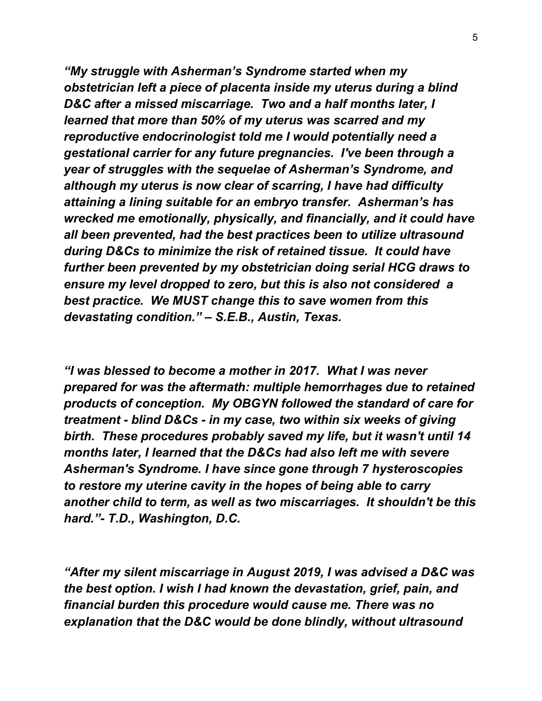"My struggle with Asherman's Syndrome started when my obstetrician left a piece of placenta inside my uterus during a blind D&C after a missed miscarriage. Two and a half months later, I learned that more than 50% of my uterus was scarred and my reproductive endocrinologist told me I would potentially need a gestational carrier for any future pregnancies. I've been through a year of struggles with the sequelae of Asherman's Syndrome, and although my uterus is now clear of scarring, I have had difficulty attaining a lining suitable for an embryo transfer. Asherman's has wrecked me emotionally, physically, and financially, and it could have all been prevented, had the best practices been to utilize ultrasound during D&Cs to minimize the risk of retained tissue. It could have further been prevented by my obstetrician doing serial HCG draws to ensure my level dropped to zero, but this is also not considered a best practice. We MUST change this to save women from this devastating condition." – S.E.B., Austin, Texas.

"I was blessed to become a mother in 2017. What I was never prepared for was the aftermath: multiple hemorrhages due to retained products of conception. My OBGYN followed the standard of care for treatment - blind D&Cs - in my case, two within six weeks of giving birth. These procedures probably saved my life, but it wasn't until 14 months later, I learned that the D&Cs had also left me with severe Asherman's Syndrome. I have since gone through 7 hysteroscopies to restore my uterine cavity in the hopes of being able to carry another child to term, as well as two miscarriages. It shouldn't be this hard."- T.D., Washington, D.C.

"After my silent miscarriage in August 2019, I was advised a D&C was the best option. I wish I had known the devastation, grief, pain, and financial burden this procedure would cause me. There was no explanation that the D&C would be done blindly, without ultrasound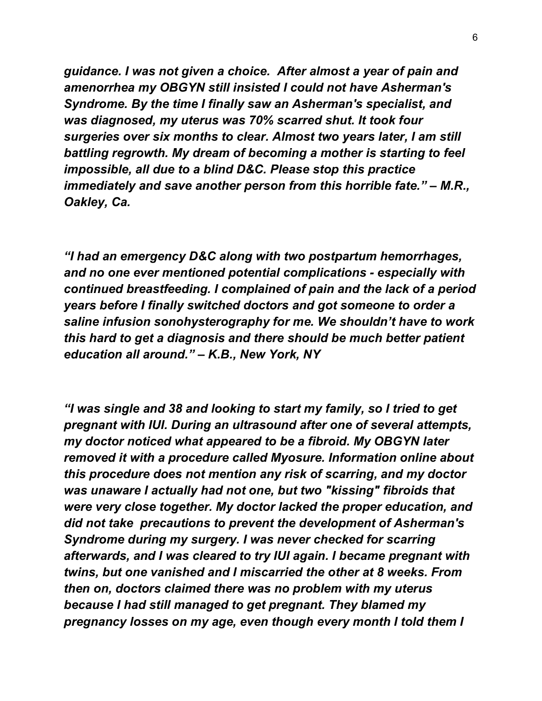guidance. I was not given a choice. After almost a year of pain and amenorrhea my OBGYN still insisted I could not have Asherman's Syndrome. By the time I finally saw an Asherman's specialist, and was diagnosed, my uterus was 70% scarred shut. It took four surgeries over six months to clear. Almost two years later, I am still battling regrowth. My dream of becoming a mother is starting to feel impossible, all due to a blind D&C. Please stop this practice immediately and save another person from this horrible fate." – M.R., Oakley, Ca.

"I had an emergency D&C along with two postpartum hemorrhages, and no one ever mentioned potential complications - especially with continued breastfeeding. I complained of pain and the lack of a period years before I finally switched doctors and got someone to order a saline infusion sonohysterography for me. We shouldn't have to work this hard to get a diagnosis and there should be much better patient education all around." – K.B., New York, NY

"I was single and 38 and looking to start my family, so I tried to get pregnant with IUI. During an ultrasound after one of several attempts, my doctor noticed what appeared to be a fibroid. My OBGYN later removed it with a procedure called Myosure. Information online about this procedure does not mention any risk of scarring, and my doctor was unaware I actually had not one, but two "kissing" fibroids that were very close together. My doctor lacked the proper education, and did not take precautions to prevent the development of Asherman's Syndrome during my surgery. I was never checked for scarring afterwards, and I was cleared to try IUI again. I became pregnant with twins, but one vanished and I miscarried the other at 8 weeks. From then on, doctors claimed there was no problem with my uterus because I had still managed to get pregnant. They blamed my pregnancy losses on my age, even though every month I told them I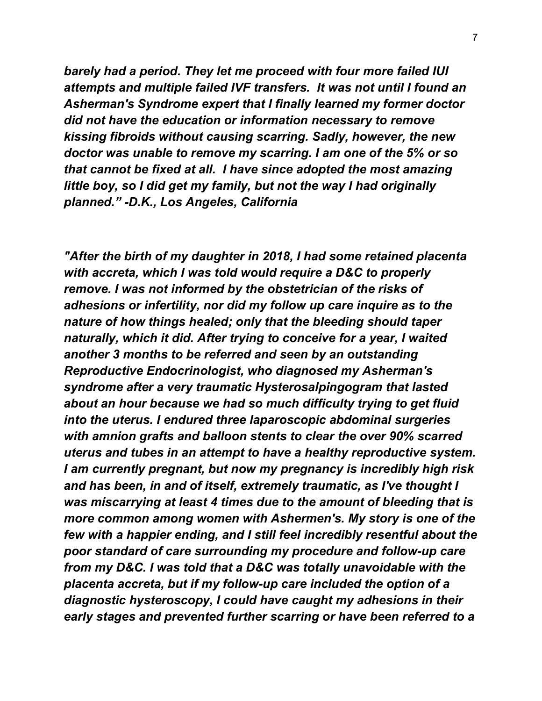barely had a period. They let me proceed with four more failed IUI attempts and multiple failed IVF transfers. It was not until I found an Asherman's Syndrome expert that I finally learned my former doctor did not have the education or information necessary to remove kissing fibroids without causing scarring. Sadly, however, the new doctor was unable to remove my scarring. I am one of the 5% or so that cannot be fixed at all. I have since adopted the most amazing little boy, so I did get my family, but not the way I had originally planned." -D.K., Los Angeles, California

"After the birth of my daughter in 2018, I had some retained placenta with accreta, which I was told would require a D&C to properly remove. I was not informed by the obstetrician of the risks of adhesions or infertility, nor did my follow up care inquire as to the nature of how things healed; only that the bleeding should taper naturally, which it did. After trying to conceive for a year, I waited another 3 months to be referred and seen by an outstanding Reproductive Endocrinologist, who diagnosed my Asherman's syndrome after a very traumatic Hysterosalpingogram that lasted about an hour because we had so much difficulty trying to get fluid into the uterus. I endured three laparoscopic abdominal surgeries with amnion grafts and balloon stents to clear the over 90% scarred uterus and tubes in an attempt to have a healthy reproductive system. I am currently pregnant, but now my pregnancy is incredibly high risk and has been, in and of itself, extremely traumatic, as I've thought I was miscarrying at least 4 times due to the amount of bleeding that is more common among women with Ashermen's. My story is one of the few with a happier ending, and I still feel incredibly resentful about the poor standard of care surrounding my procedure and follow-up care from my D&C. I was told that a D&C was totally unavoidable with the placenta accreta, but if my follow-up care included the option of a diagnostic hysteroscopy, I could have caught my adhesions in their early stages and prevented further scarring or have been referred to a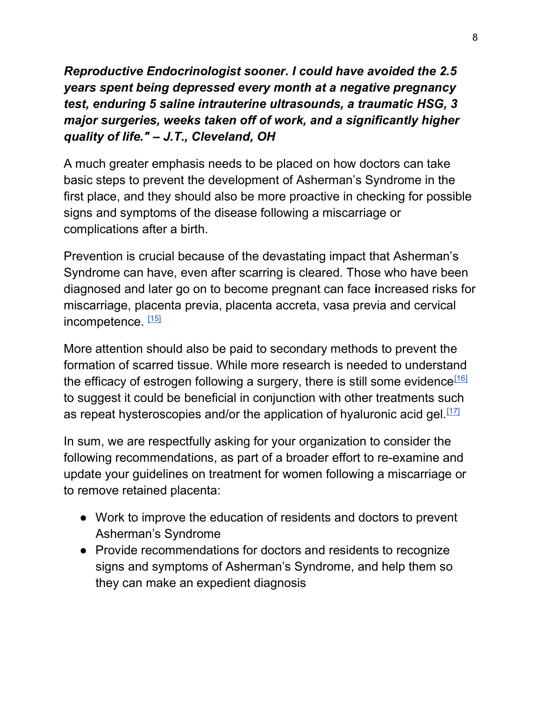Reproductive Endocrinologist sooner. I could have avoided the 2.5 years spent being depressed every month at a negative pregnancy test, enduring 5 saline intrauterine ultrasounds, a traumatic HSG, 3 major surgeries, weeks taken off of work, and a significantly higher quality of life." – J.T., Cleveland, OH

A much greater emphasis needs to be placed on how doctors can take basic steps to prevent the development of Asherman's Syndrome in the first place, and they should also be more proactive in checking for possible signs and symptoms of the disease following a miscarriage or complications after a birth.

Prevention is crucial because of the devastating impact that Asherman's Syndrome can have, even after scarring is cleared. Those who have been diagnosed and later go on to become pregnant can face increased risks for miscarriage, placenta previa, placenta accreta, vasa previa and cervical incompetence.  $[15]$ 

More attention should also be paid to secondary methods to prevent the formation of scarred tissue. While more research is needed to understand the efficacy of estrogen following a surgery, there is still some evidence<sup>[16]</sup> to suggest it could be beneficial in conjunction with other treatments such as repeat hysteroscopies and/or the application of hyaluronic acid gel. $[17]$ 

In sum, we are respectfully asking for your organization to consider the following recommendations, as part of a broader effort to re-examine and update your guidelines on treatment for women following a miscarriage or to remove retained placenta:

- Work to improve the education of residents and doctors to prevent Asherman's Syndrome
- Provide recommendations for doctors and residents to recognize signs and symptoms of Asherman's Syndrome, and help them so they can make an expedient diagnosis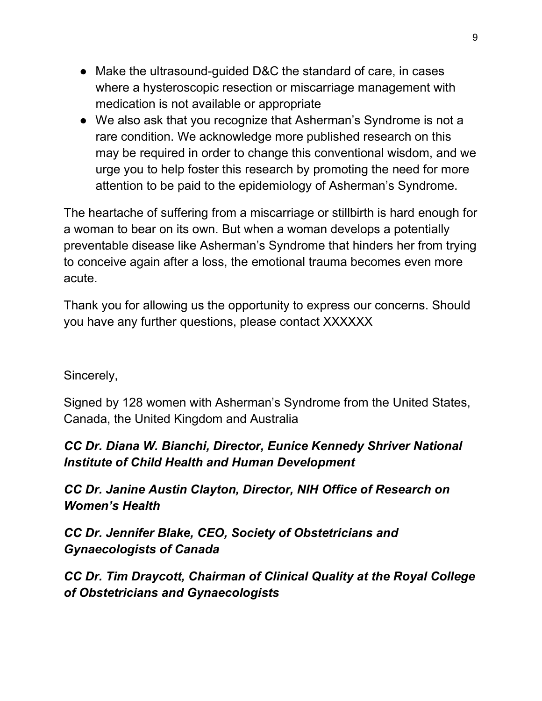- Make the ultrasound-guided D&C the standard of care, in cases where a hysteroscopic resection or miscarriage management with medication is not available or appropriate
- We also ask that you recognize that Asherman's Syndrome is not a rare condition. We acknowledge more published research on this may be required in order to change this conventional wisdom, and we urge you to help foster this research by promoting the need for more attention to be paid to the epidemiology of Asherman's Syndrome.

The heartache of suffering from a miscarriage or stillbirth is hard enough for a woman to bear on its own. But when a woman develops a potentially preventable disease like Asherman's Syndrome that hinders her from trying to conceive again after a loss, the emotional trauma becomes even more acute.

Thank you for allowing us the opportunity to express our concerns. Should you have any further questions, please contact XXXXXX

## Sincerely,

Signed by 128 women with Asherman's Syndrome from the United States, Canada, the United Kingdom and Australia

## CC Dr. Diana W. Bianchi, Director, Eunice Kennedy Shriver National Institute of Child Health and Human Development

CC Dr. Janine Austin Clayton, Director, NIH Office of Research on Women's Health

CC Dr. Jennifer Blake, CEO, Society of Obstetricians and Gynaecologists of Canada

CC Dr. Tim Draycott, Chairman of Clinical Quality at the Royal College of Obstetricians and Gynaecologists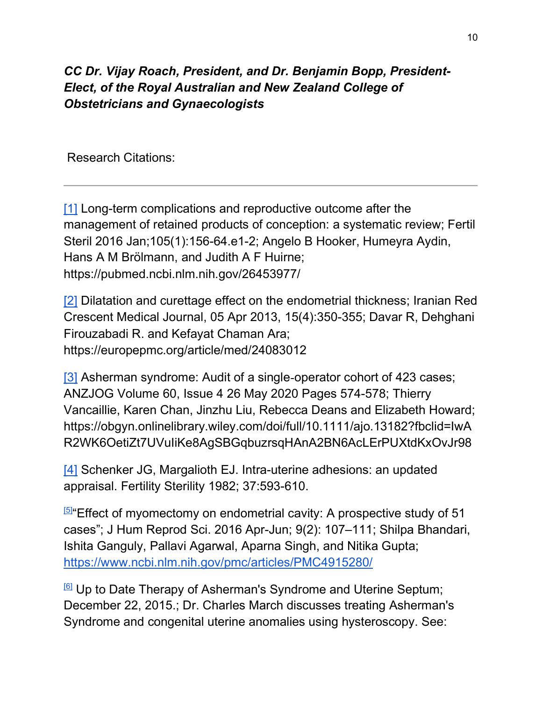## CC Dr. Vijay Roach, President, and Dr. Benjamin Bopp, President-Elect, of the Royal Australian and New Zealand College of Obstetricians and Gynaecologists

Research Citations:

[1] Long-term complications and reproductive outcome after the management of retained products of conception: a systematic review; Fertil Steril 2016 Jan;105(1):156-64.e1-2; Angelo B Hooker, Humeyra Aydin, Hans A M Brölmann, and Judith A F Huirne; https://pubmed.ncbi.nlm.nih.gov/26453977/

[2] Dilatation and curettage effect on the endometrial thickness; Iranian Red Crescent Medical Journal, 05 Apr 2013, 15(4):350-355; Davar R, Dehghani Firouzabadi R. and Kefayat Chaman Ara; https://europepmc.org/article/med/24083012

[3] Asherman syndrome: Audit of a single-operator cohort of 423 cases; ANZJOG Volume 60, Issue 4 26 May 2020 Pages 574-578; Thierry Vancaillie, Karen Chan, Jinzhu Liu, Rebecca Deans and Elizabeth Howard; https://obgyn.onlinelibrary.wiley.com/doi/full/10.1111/ajo.13182?fbclid=IwA R2WK6OetiZt7UVuIiKe8AgSBGqbuzrsqHAnA2BN6AcLErPUXtdKxOvJr98

[4] Schenker JG, Margalioth EJ. Intra-uterine adhesions: an updated appraisal. Fertility Sterility 1982; 37:593-610.

 $55\%$  Effect of myomectomy on endometrial cavity: A prospective study of 51 cases"; J Hum Reprod Sci. 2016 Apr-Jun; 9(2): 107–111; Shilpa Bhandari, Ishita Ganguly, Pallavi Agarwal, Aparna Singh, and Nitika Gupta; https://www.ncbi.nlm.nih.gov/pmc/articles/PMC4915280/

[6] Up to Date Therapy of Asherman's Syndrome and Uterine Septum; December 22, 2015.; Dr. Charles March discusses treating Asherman's Syndrome and congenital uterine anomalies using hysteroscopy. See: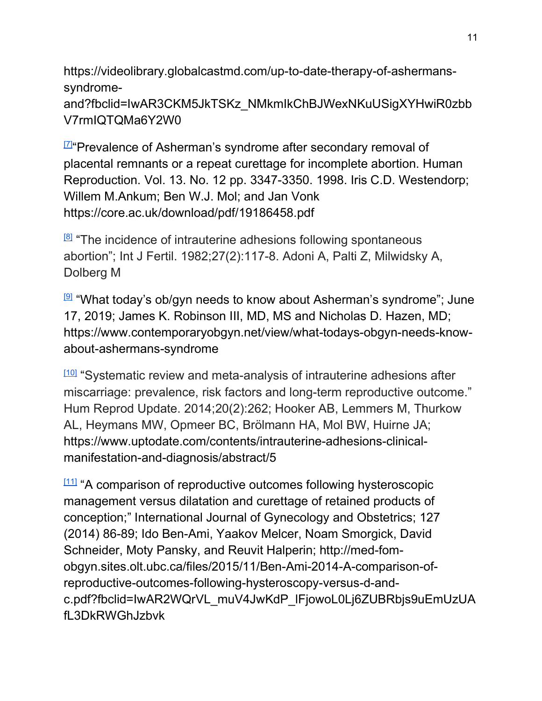https://videolibrary.globalcastmd.com/up-to-date-therapy-of-ashermanssyndromeand?fbclid=IwAR3CKM5JkTSKz\_NMkmIkChBJWexNKuUSigXYHwiR0zbb V7rmIQTQMa6Y2W0

[7]"Prevalence of Asherman's syndrome after secondary removal of placental remnants or a repeat curettage for incomplete abortion. Human Reproduction. Vol. 13. No. 12 pp. 3347-3350. 1998. Iris C.D. Westendorp; Willem M.Ankum; Ben W.J. Mol; and Jan Vonk https://core.ac.uk/download/pdf/19186458.pdf

 $181$  "The incidence of intrauterine adhesions following spontaneous abortion"; Int J Fertil. 1982;27(2):117-8. Adoni A, Palti Z, Milwidsky A, Dolberg M

 $[9]$  "What today's ob/gyn needs to know about Asherman's syndrome"; June 17, 2019; James K. Robinson III, MD, MS and Nicholas D. Hazen, MD; https://www.contemporaryobgyn.net/view/what-todays-obgyn-needs-knowabout-ashermans-syndrome

 $100$  "Systematic review and meta-analysis of intrauterine adhesions after miscarriage: prevalence, risk factors and long-term reproductive outcome." Hum Reprod Update. 2014;20(2):262; Hooker AB, Lemmers M, Thurkow AL, Heymans MW, Opmeer BC, Brölmann HA, Mol BW, Huirne JA; https://www.uptodate.com/contents/intrauterine-adhesions-clinicalmanifestation-and-diagnosis/abstract/5

 $111$  "A comparison of reproductive outcomes following hysteroscopic management versus dilatation and curettage of retained products of conception;" International Journal of Gynecology and Obstetrics; 127 (2014) 86-89; Ido Ben-Ami, Yaakov Melcer, Noam Smorgick, David Schneider, Moty Pansky, and Reuvit Halperin; http://med-fomobgyn.sites.olt.ubc.ca/files/2015/11/Ben-Ami-2014-A-comparison-ofreproductive-outcomes-following-hysteroscopy-versus-d-andc.pdf?fbclid=IwAR2WQrVL\_muV4JwKdP\_lFjowoL0Lj6ZUBRbjs9uEmUzUA fL3DkRWGhJzbvk